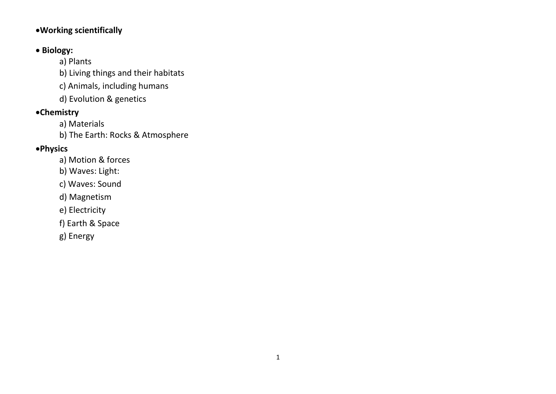## **Working scientifically**

# **• Biology:**

a) Plants

b) Living things and their habitats

c) Animals, including humans

d) Evolution & genetics

# **Chemistry**

a) Materials

b) The Earth: Rocks & Atmosphere

# **Physics**

a) Motion & forces

b) Waves: Light:

c) Waves: Sound

d) Magnetism

e) Electricity

f) Earth & Space

g) Energy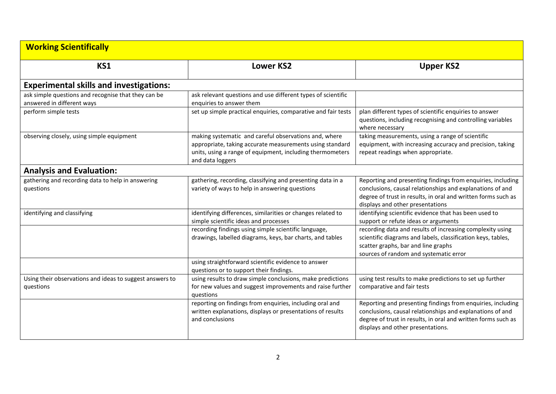| <b>Working Scientifically</b>                                                     |                                                                                                                                                                                                    |                                                                                                                                                                                                                                |
|-----------------------------------------------------------------------------------|----------------------------------------------------------------------------------------------------------------------------------------------------------------------------------------------------|--------------------------------------------------------------------------------------------------------------------------------------------------------------------------------------------------------------------------------|
| KS1                                                                               | <b>Lower KS2</b>                                                                                                                                                                                   | <b>Upper KS2</b>                                                                                                                                                                                                               |
| <b>Experimental skills and investigations:</b>                                    |                                                                                                                                                                                                    |                                                                                                                                                                                                                                |
| ask simple questions and recognise that they can be<br>answered in different ways | ask relevant questions and use different types of scientific<br>enquiries to answer them                                                                                                           |                                                                                                                                                                                                                                |
| perform simple tests                                                              | set up simple practical enquiries, comparative and fair tests                                                                                                                                      | plan different types of scientific enquiries to answer<br>questions, including recognising and controlling variables<br>where necessary                                                                                        |
| observing closely, using simple equipment                                         | making systematic and careful observations and, where<br>appropriate, taking accurate measurements using standard<br>units, using a range of equipment, including thermometers<br>and data loggers | taking measurements, using a range of scientific<br>equipment, with increasing accuracy and precision, taking<br>repeat readings when appropriate.                                                                             |
| <b>Analysis and Evaluation:</b>                                                   |                                                                                                                                                                                                    |                                                                                                                                                                                                                                |
| gathering and recording data to help in answering<br>questions                    | gathering, recording, classifying and presenting data in a<br>variety of ways to help in answering questions                                                                                       | Reporting and presenting findings from enquiries, including<br>conclusions, causal relationships and explanations of and<br>degree of trust in results, in oral and written forms such as<br>displays and other presentations  |
| identifying and classifying                                                       | identifying differences, similarities or changes related to<br>simple scientific ideas and processes                                                                                               | identifying scientific evidence that has been used to<br>support or refute ideas or arguments                                                                                                                                  |
|                                                                                   | recording findings using simple scientific language,<br>drawings, labelled diagrams, keys, bar charts, and tables                                                                                  | recording data and results of increasing complexity using<br>scientific diagrams and labels, classification keys, tables,<br>scatter graphs, bar and line graphs<br>sources of random and systematic error                     |
|                                                                                   | using straightforward scientific evidence to answer<br>questions or to support their findings.                                                                                                     |                                                                                                                                                                                                                                |
| Using their observations and ideas to suggest answers to<br>questions             | using results to draw simple conclusions, make predictions<br>for new values and suggest improvements and raise further<br>questions                                                               | using test results to make predictions to set up further<br>comparative and fair tests                                                                                                                                         |
|                                                                                   | reporting on findings from enquiries, including oral and<br>written explanations, displays or presentations of results<br>and conclusions                                                          | Reporting and presenting findings from enquiries, including<br>conclusions, causal relationships and explanations of and<br>degree of trust in results, in oral and written forms such as<br>displays and other presentations. |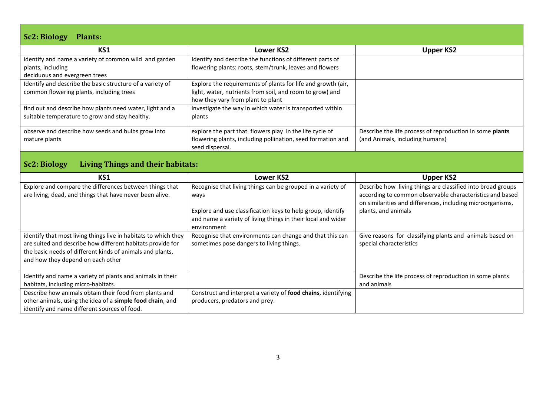#### **Sc2: Biology Plants:**

| <b>ULLI DIVIVEY</b><br><b>TIGHTOF</b>                     |                                                                                                                        |                                                                                             |  |
|-----------------------------------------------------------|------------------------------------------------------------------------------------------------------------------------|---------------------------------------------------------------------------------------------|--|
| KS1                                                       | Lower KS2                                                                                                              | <b>Upper KS2</b>                                                                            |  |
| identify and name a variety of common wild and garden     | Identify and describe the functions of different parts of                                                              |                                                                                             |  |
| plants, including                                         | flowering plants: roots, stem/trunk, leaves and flowers                                                                |                                                                                             |  |
| deciduous and evergreen trees                             |                                                                                                                        |                                                                                             |  |
| Identify and describe the basic structure of a variety of | Explore the requirements of plants for life and growth (air,                                                           |                                                                                             |  |
| common flowering plants, including trees                  | light, water, nutrients from soil, and room to grow) and                                                               |                                                                                             |  |
|                                                           | how they vary from plant to plant                                                                                      |                                                                                             |  |
| find out and describe how plants need water, light and a  | investigate the way in which water is transported within                                                               |                                                                                             |  |
| suitable temperature to grow and stay healthy.            | plants                                                                                                                 |                                                                                             |  |
|                                                           |                                                                                                                        |                                                                                             |  |
| observe and describe how seeds and bulbs grow into        | explore the part that flowers play in the life cycle of<br>flowering plants, including pollination, seed formation and | Describe the life process of reproduction in some plants<br>(and Animals, including humans) |  |
| mature plants                                             | seed dispersal.                                                                                                        |                                                                                             |  |
|                                                           |                                                                                                                        |                                                                                             |  |
| Living Things and their habitats:<br><b>Sc2: Biology</b>  |                                                                                                                        |                                                                                             |  |
|                                                           |                                                                                                                        |                                                                                             |  |
| KS1                                                       | Lower KS2                                                                                                              | <b>Upper KS2</b>                                                                            |  |
| Explore and compare the differences between things that   | Recognise that living things can be grouped in a variety of                                                            | Describe how living things are classified into broad groups                                 |  |
| are living, dead, and things that have never been alive.  | ways                                                                                                                   | according to common observable characteristics and based                                    |  |
|                                                           |                                                                                                                        | on similarities and differences, including microorganisms,                                  |  |
|                                                           |                                                                                                                        |                                                                                             |  |

|                                                                                                                                                                                                                                 | Explore and use classification keys to help group, identify<br>and name a variety of living things in their local and wider<br>environment | on similarities and differences, including microorganisms,<br>plants, and animals   |
|---------------------------------------------------------------------------------------------------------------------------------------------------------------------------------------------------------------------------------|--------------------------------------------------------------------------------------------------------------------------------------------|-------------------------------------------------------------------------------------|
| identify that most living things live in habitats to which they<br>are suited and describe how different habitats provide for<br>the basic needs of different kinds of animals and plants,<br>and how they depend on each other | Recognise that environments can change and that this can<br>sometimes pose dangers to living things.                                       | Give reasons for classifying plants and animals based on<br>special characteristics |
| Identify and name a variety of plants and animals in their                                                                                                                                                                      |                                                                                                                                            | Describe the life process of reproduction in some plants                            |
| habitats, including micro-habitats.                                                                                                                                                                                             |                                                                                                                                            | and animals                                                                         |
| Describe how animals obtain their food from plants and                                                                                                                                                                          | Construct and interpret a variety of food chains, identifying                                                                              |                                                                                     |
| other animals, using the idea of a simple food chain, and                                                                                                                                                                       | producers, predators and prey.                                                                                                             |                                                                                     |
| identify and name different sources of food.                                                                                                                                                                                    |                                                                                                                                            |                                                                                     |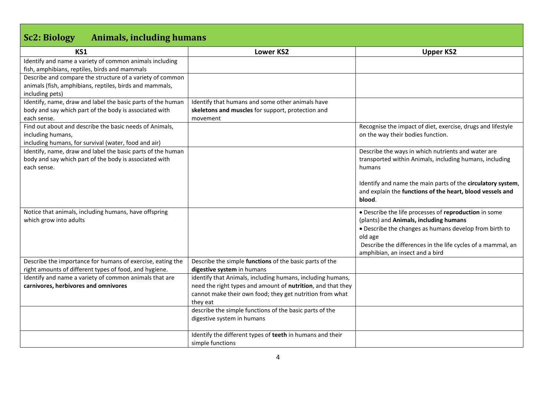## **Sc2: Biology Animals, including humans**

| KS1                                                         | <b>Lower KS2</b>                                            | <b>Upper KS2</b>                                            |
|-------------------------------------------------------------|-------------------------------------------------------------|-------------------------------------------------------------|
| Identify and name a variety of common animals including     |                                                             |                                                             |
| fish, amphibians, reptiles, birds and mammals               |                                                             |                                                             |
| Describe and compare the structure of a variety of common   |                                                             |                                                             |
| animals (fish, amphibians, reptiles, birds and mammals,     |                                                             |                                                             |
| including pets)                                             |                                                             |                                                             |
| Identify, name, draw and label the basic parts of the human | Identify that humans and some other animals have            |                                                             |
| body and say which part of the body is associated with      | skeletons and muscles for support, protection and           |                                                             |
| each sense.                                                 | movement                                                    |                                                             |
| Find out about and describe the basic needs of Animals,     |                                                             | Recognise the impact of diet, exercise, drugs and lifestyle |
| including humans,                                           |                                                             | on the way their bodies function.                           |
| including humans, for survival (water, food and air)        |                                                             |                                                             |
| Identify, name, draw and label the basic parts of the human |                                                             | Describe the ways in which nutrients and water are          |
| body and say which part of the body is associated with      |                                                             | transported within Animals, including humans, including     |
| each sense.                                                 |                                                             | humans                                                      |
|                                                             |                                                             |                                                             |
|                                                             |                                                             | Identify and name the main parts of the circulatory system, |
|                                                             |                                                             | and explain the functions of the heart, blood vessels and   |
|                                                             |                                                             | blood.                                                      |
| Notice that animals, including humans, have offspring       |                                                             | • Describe the life processes of reproduction in some       |
| which grow into adults                                      |                                                             | (plants) and Animals, including humans                      |
|                                                             |                                                             | • Describe the changes as humans develop from birth to      |
|                                                             |                                                             | old age                                                     |
|                                                             |                                                             | Describe the differences in the life cycles of a mammal, an |
|                                                             |                                                             | amphibian, an insect and a bird                             |
| Describe the importance for humans of exercise, eating the  | Describe the simple functions of the basic parts of the     |                                                             |
| right amounts of different types of food, and hygiene.      | digestive system in humans                                  |                                                             |
| Identify and name a variety of common animals that are      | identify that Animals, including humans, including humans,  |                                                             |
| carnivores, herbivores and omnivores                        | need the right types and amount of nutrition, and that they |                                                             |
|                                                             | cannot make their own food; they get nutrition from what    |                                                             |
|                                                             | they eat                                                    |                                                             |
|                                                             | describe the simple functions of the basic parts of the     |                                                             |
|                                                             | digestive system in humans                                  |                                                             |
|                                                             |                                                             |                                                             |
|                                                             | Identify the different types of teeth in humans and their   |                                                             |
|                                                             | simple functions                                            |                                                             |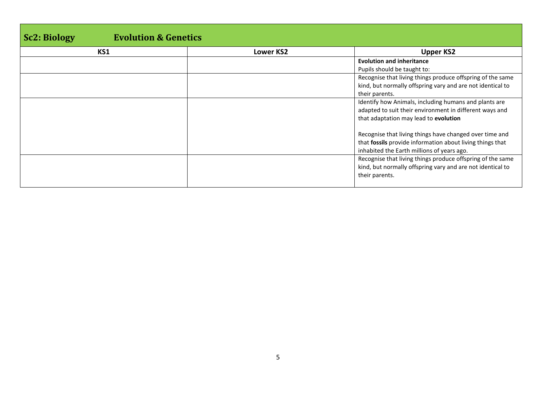| <b>Evolution &amp; Genetics</b><br><b>Sc2</b> : Biology |                  |                                                            |
|---------------------------------------------------------|------------------|------------------------------------------------------------|
| KS1                                                     | <b>Lower KS2</b> | <b>Upper KS2</b>                                           |
|                                                         |                  | <b>Evolution and inheritance</b>                           |
|                                                         |                  | Pupils should be taught to:                                |
|                                                         |                  | Recognise that living things produce offspring of the same |
|                                                         |                  | kind, but normally offspring vary and are not identical to |
|                                                         |                  | their parents.                                             |
|                                                         |                  | Identify how Animals, including humans and plants are      |
|                                                         |                  | adapted to suit their environment in different ways and    |
|                                                         |                  | that adaptation may lead to evolution                      |
|                                                         |                  | Recognise that living things have changed over time and    |
|                                                         |                  | that fossils provide information about living things that  |
|                                                         |                  | inhabited the Earth millions of years ago.                 |
|                                                         |                  | Recognise that living things produce offspring of the same |
|                                                         |                  | kind, but normally offspring vary and are not identical to |
|                                                         |                  | their parents.                                             |
|                                                         |                  |                                                            |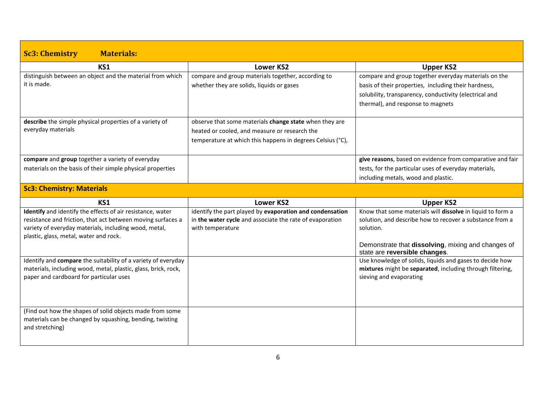| <b>Sc3: Chemistry</b><br><b>Materials:</b>                     |                                                            |                                                                                     |
|----------------------------------------------------------------|------------------------------------------------------------|-------------------------------------------------------------------------------------|
| KS1                                                            | <b>Lower KS2</b>                                           | <b>Upper KS2</b>                                                                    |
| distinguish between an object and the material from which      | compare and group materials together, according to         | compare and group together everyday materials on the                                |
| it is made.                                                    | whether they are solids, liquids or gases                  | basis of their properties, including their hardness,                                |
|                                                                |                                                            | solubility, transparency, conductivity (electrical and                              |
|                                                                |                                                            | thermal), and response to magnets                                                   |
| describe the simple physical properties of a variety of        | observe that some materials change state when they are     |                                                                                     |
| everyday materials                                             | heated or cooled, and measure or research the              |                                                                                     |
|                                                                | temperature at which this happens in degrees Celsius (°C), |                                                                                     |
| compare and group together a variety of everyday               |                                                            | give reasons, based on evidence from comparative and fair                           |
| materials on the basis of their simple physical properties     |                                                            | tests, for the particular uses of everyday materials,                               |
|                                                                |                                                            | including metals, wood and plastic.                                                 |
| <b>Sc3: Chemistry: Materials</b>                               |                                                            |                                                                                     |
|                                                                |                                                            |                                                                                     |
| KS1                                                            | <b>Lower KS2</b>                                           | <b>Upper KS2</b>                                                                    |
| Identify and identify the effects of air resistance, water     | identify the part played by evaporation and condensation   | Know that some materials will dissolve in liquid to form a                          |
| resistance and friction, that act between moving surfaces a    | in the water cycle and associate the rate of evaporation   | solution, and describe how to recover a substance from a                            |
| variety of everyday materials, including wood, metal,          | with temperature                                           | solution.                                                                           |
| plastic, glass, metal, water and rock.                         |                                                            |                                                                                     |
|                                                                |                                                            | Demonstrate that dissolving, mixing and changes of<br>state are reversible changes. |
| Identify and compare the suitability of a variety of everyday  |                                                            | Use knowledge of solids, liquids and gases to decide how                            |
| materials, including wood, metal, plastic, glass, brick, rock, |                                                            | mixtures might be separated, including through filtering,                           |
| paper and cardboard for particular uses                        |                                                            | sieving and evaporating                                                             |
|                                                                |                                                            |                                                                                     |
|                                                                |                                                            |                                                                                     |
| (Find out how the shapes of solid objects made from some       |                                                            |                                                                                     |
| materials can be changed by squashing, bending, twisting       |                                                            |                                                                                     |
| and stretching)                                                |                                                            |                                                                                     |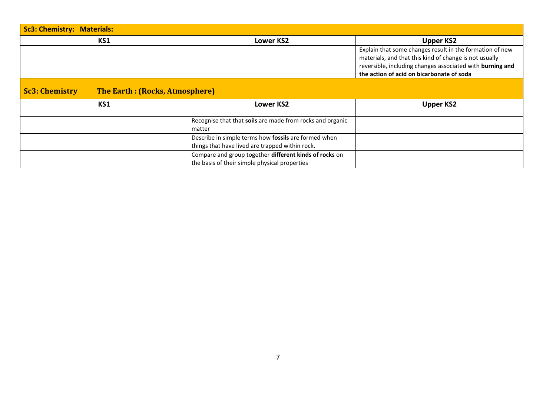| <b>Sc3: Chemistry: Materials:</b>                              |                                                                                                         |                                                                                                                                                                                                                              |  |
|----------------------------------------------------------------|---------------------------------------------------------------------------------------------------------|------------------------------------------------------------------------------------------------------------------------------------------------------------------------------------------------------------------------------|--|
| KS1                                                            | <b>Lower KS2</b>                                                                                        | <b>Upper KS2</b>                                                                                                                                                                                                             |  |
|                                                                |                                                                                                         | Explain that some changes result in the formation of new<br>materials, and that this kind of change is not usually<br>reversible, including changes associated with burning and<br>the action of acid on bicarbonate of soda |  |
| <b>The Earth: (Rocks, Atmosphere)</b><br><b>Sc3: Chemistry</b> |                                                                                                         |                                                                                                                                                                                                                              |  |
| KS1                                                            | <b>Lower KS2</b>                                                                                        | <b>Upper KS2</b>                                                                                                                                                                                                             |  |
|                                                                | Recognise that that soils are made from rocks and organic<br>matter                                     |                                                                                                                                                                                                                              |  |
|                                                                | Describe in simple terms how fossils are formed when<br>things that have lived are trapped within rock. |                                                                                                                                                                                                                              |  |
|                                                                | Compare and group together different kinds of rocks on<br>the basis of their simple physical properties |                                                                                                                                                                                                                              |  |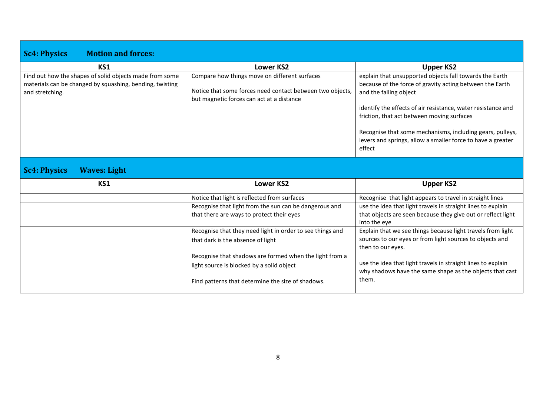| <b>Motion and forces:</b><br><b>Sc4: Physics</b>                                                                                       |                                                                                                                                                         |                                                                                                                                                                                                                                                                                                                                                                                                   |
|----------------------------------------------------------------------------------------------------------------------------------------|---------------------------------------------------------------------------------------------------------------------------------------------------------|---------------------------------------------------------------------------------------------------------------------------------------------------------------------------------------------------------------------------------------------------------------------------------------------------------------------------------------------------------------------------------------------------|
| KS1                                                                                                                                    | <b>Lower KS2</b>                                                                                                                                        | <b>Upper KS2</b>                                                                                                                                                                                                                                                                                                                                                                                  |
| Find out how the shapes of solid objects made from some<br>materials can be changed by squashing, bending, twisting<br>and stretching. | Compare how things move on different surfaces<br>Notice that some forces need contact between two objects,<br>but magnetic forces can act at a distance | explain that unsupported objects fall towards the Earth<br>because of the force of gravity acting between the Earth<br>and the falling object<br>identify the effects of air resistance, water resistance and<br>friction, that act between moving surfaces<br>Recognise that some mechanisms, including gears, pulleys,<br>levers and springs, allow a smaller force to have a greater<br>effect |
| <b>Sc4: Physics</b><br><b>Waves: Light</b>                                                                                             |                                                                                                                                                         |                                                                                                                                                                                                                                                                                                                                                                                                   |
| KS1                                                                                                                                    | <b>Lower KS2</b>                                                                                                                                        | <b>Upper KS2</b>                                                                                                                                                                                                                                                                                                                                                                                  |
|                                                                                                                                        | Notice that light is reflected from surfaces                                                                                                            | Recognise that light appears to travel in straight lines                                                                                                                                                                                                                                                                                                                                          |
|                                                                                                                                        | Recognise that light from the sun can be dangerous and                                                                                                  | use the idea that light travels in straight lines to explain                                                                                                                                                                                                                                                                                                                                      |
|                                                                                                                                        | that there are ways to protect their eyes                                                                                                               | that objects are seen because they give out or reflect light<br>into the eye                                                                                                                                                                                                                                                                                                                      |
|                                                                                                                                        | Recognise that they need light in order to see things and                                                                                               | Explain that we see things because light travels from light                                                                                                                                                                                                                                                                                                                                       |
|                                                                                                                                        | that dark is the absence of light                                                                                                                       | sources to our eyes or from light sources to objects and<br>then to our eyes.                                                                                                                                                                                                                                                                                                                     |
|                                                                                                                                        | Recognise that shadows are formed when the light from a                                                                                                 |                                                                                                                                                                                                                                                                                                                                                                                                   |
|                                                                                                                                        | light source is blocked by a solid object                                                                                                               | use the idea that light travels in straight lines to explain<br>why shadows have the same shape as the objects that cast                                                                                                                                                                                                                                                                          |
|                                                                                                                                        | Find patterns that determine the size of shadows.                                                                                                       | them.                                                                                                                                                                                                                                                                                                                                                                                             |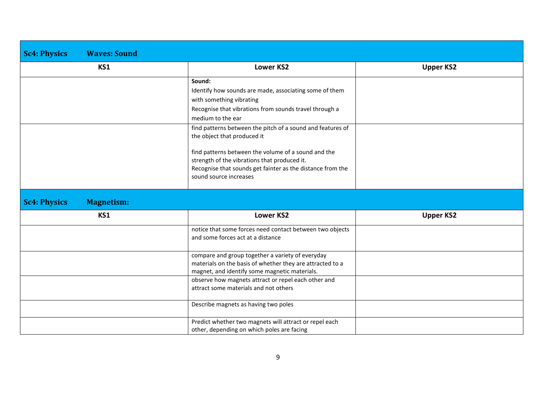| <b>Sc4: Physics</b> | <b>Waves: Sound</b> |                                                                                                            |                  |
|---------------------|---------------------|------------------------------------------------------------------------------------------------------------|------------------|
|                     | KS1                 | <b>Lower KS2</b>                                                                                           | <b>Upper KS2</b> |
|                     |                     | Sound:                                                                                                     |                  |
|                     |                     | Identify how sounds are made, associating some of them<br>with something vibrating                         |                  |
|                     |                     | Recognise that vibrations from sounds travel through a                                                     |                  |
|                     |                     | medium to the ear                                                                                          |                  |
|                     |                     | find patterns between the pitch of a sound and features of<br>the object that produced it                  |                  |
|                     |                     | find patterns between the volume of a sound and the<br>strength of the vibrations that produced it.        |                  |
|                     |                     | Recognise that sounds get fainter as the distance from the<br>sound source increases                       |                  |
| <b>Sc4: Physics</b> | <b>Magnetism:</b>   |                                                                                                            |                  |
|                     | KS1                 | <b>Lower KS2</b>                                                                                           | <b>Upper KS2</b> |
|                     |                     | notice that some forces need contact between two objects                                                   |                  |
|                     |                     | and some forces act at a distance                                                                          |                  |
|                     |                     | compare and group together a variety of everyday                                                           |                  |
|                     |                     | materials on the basis of whether they are attracted to a<br>magnet, and identify some magnetic materials. |                  |
|                     |                     | observe how magnets attract or repel each other and                                                        |                  |
|                     |                     | attract some materials and not others                                                                      |                  |
|                     |                     | Describe magnets as having two poles                                                                       |                  |
|                     |                     | Predict whether two magnets will attract or repel each                                                     |                  |
|                     |                     | other, depending on which poles are facing                                                                 |                  |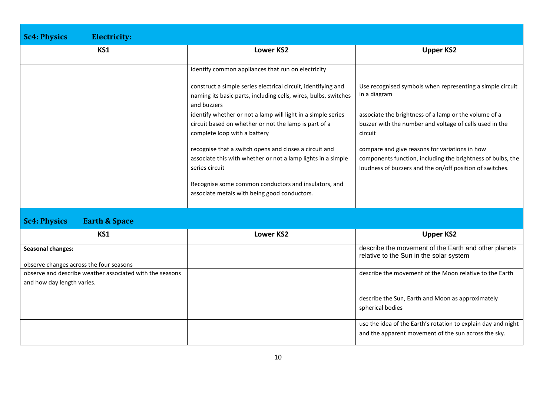| <b>Sc4: Physics</b><br><b>Electricity:</b>                                             |                                                                                                                                                       |                                                                                                                                                                           |
|----------------------------------------------------------------------------------------|-------------------------------------------------------------------------------------------------------------------------------------------------------|---------------------------------------------------------------------------------------------------------------------------------------------------------------------------|
| KS1                                                                                    | <b>Lower KS2</b>                                                                                                                                      | <b>Upper KS2</b>                                                                                                                                                          |
|                                                                                        | identify common appliances that run on electricity                                                                                                    |                                                                                                                                                                           |
|                                                                                        | construct a simple series electrical circuit, identifying and<br>naming its basic parts, including cells, wires, bulbs, switches<br>and buzzers       | Use recognised symbols when representing a simple circuit<br>in a diagram                                                                                                 |
|                                                                                        | identify whether or not a lamp will light in a simple series<br>circuit based on whether or not the lamp is part of a<br>complete loop with a battery | associate the brightness of a lamp or the volume of a<br>buzzer with the number and voltage of cells used in the<br>circuit                                               |
|                                                                                        | recognise that a switch opens and closes a circuit and<br>associate this with whether or not a lamp lights in a simple<br>series circuit              | compare and give reasons for variations in how<br>components function, including the brightness of bulbs, the<br>loudness of buzzers and the on/off position of switches. |
|                                                                                        | Recognise some common conductors and insulators, and<br>associate metals with being good conductors.                                                  |                                                                                                                                                                           |
| <b>Sc4: Physics</b><br><b>Earth &amp; Space</b>                                        |                                                                                                                                                       |                                                                                                                                                                           |
| KS1                                                                                    | <b>Lower KS2</b>                                                                                                                                      | <b>Upper KS2</b>                                                                                                                                                          |
| <b>Seasonal changes:</b><br>observe changes across the four seasons                    |                                                                                                                                                       | describe the movement of the Earth and other planets<br>relative to the Sun in the solar system                                                                           |
| observe and describe weather associated with the seasons<br>and how day length varies. |                                                                                                                                                       | describe the movement of the Moon relative to the Earth                                                                                                                   |
|                                                                                        |                                                                                                                                                       | describe the Sun, Earth and Moon as approximately<br>spherical bodies                                                                                                     |
|                                                                                        |                                                                                                                                                       | use the idea of the Earth's rotation to explain day and night<br>and the apparent movement of the sun across the sky.                                                     |